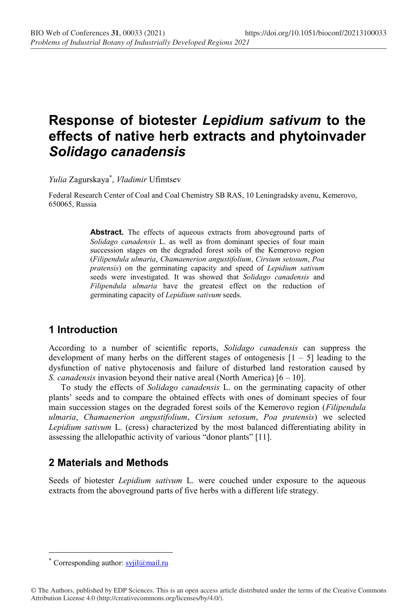# **Response of biotester** *Lepidium sativum* **to the effects of native herb extracts and phytoinvader** *Solidago canadensis*

*Yulia* Zagurskaya\* , *Vladimir* Ufimtsev

Federal Research Center of Coal and Coal Chemistry SB RAS, 10 Leningradsky avenu, Kemerovo, 650065, Russia

> Abstract. The effects of aqueous extracts from aboveground parts of *Solidago canadensis* L. as well as from dominant species of four main succession stages on the degraded forest soils of the Kemerovo region (*Filipendula ulmaria*, *Chamaenerion angustifolium*, *Cirsium setosum*, *Poa pratensis*) on the germinating capacity and speed of *Lepidium sativum* seeds were investigated. It was showed that *Solidago canadensis* and *Filipendula ulmaria* have the greatest effect on the reduction of germinating capacity of *Lepidium sativum* seeds.

## **1 Introduction**

According to a number of scientific reports, *Solidago canadensis* can suppress the development of many herbs on the different stages of ontogenesis  $[1 - 5]$  leading to the dysfunction of native phytocenosis and failure of disturbed land restoration caused by *S. canadensis* invasion beyond their native areal (North America) [6 – 10].

To study the effects of *Solidago canadensis* L. on the germinating capacity of other plants' seeds and to compare the obtained effects with ones of dominant species of four main succession stages on the degraded forest soils of the Kemerovo region (*Filipendula ulmaria*, *Chamaenerion angustifolium*, *Cirsium setosum*, *Poa pratensis*) we selected *Lepidium sativum* L. (cress) characterized by the most balanced differentiating ability in assessing the allelopathic activity of various "donor plants" [11].

## **2 Materials and Methods**

Seeds of biotester *Lepidium sativum* L. were couched under exposure to the aqueous extracts from the aboveground parts of five herbs with a different life strategy.

<sup>\*</sup> Corresponding author:  $s$ yjil $@$ mail.ru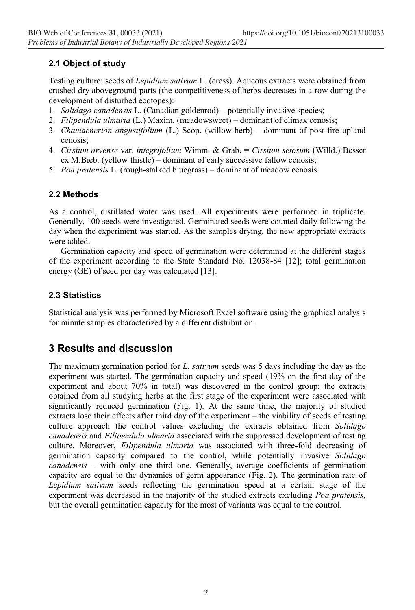### **2.1 Object of study**

Testing culture: seeds of *Lepidium sativum* L. (cress). Aqueous extracts were obtained from crushed dry aboveground parts (the competitiveness of herbs decreases in a row during the development of disturbed ecotopes):

- 1. *Solidago canadensis* L. (Canadian goldenrod) potentially invasive species;
- 2. *Filipendula ulmaria* (L.) Maxim. (meadowsweet) dominant of climax cenosis;
- 3. *Chamaenerion angustifolium* (L.) Scop. (willow-herb) dominant of post-fire upland cenosis;
- 4. *Cirsium arvense* var. *integrifolium* Wimm. & Grab. = *Cirsium setosum* (Willd.) Besser ex M.Bieb. (yellow thistle) – dominant of early successive fallow cenosis;
- 5. *Poa pratensis* L. (rough-stalked bluegrass) dominant of meadow cenosis.

#### **2.2 Methods**

As a control, distillated water was used. All experiments were performed in triplicate. Generally, 100 seeds were investigated. Germinated seeds were counted daily following the day when the experiment was started. As the samples drying, the new appropriate extracts were added.

Germination capacity and speed of germination were determined at the different stages of the experiment according to the State Standard No. 12038-84 [12]; total germination energy (GE) of seed per day was calculated [13].

#### **2.3 Statistics**

Statistical analysis was performed by Microsoft Excel software using the graphical analysis for minute samples characterized by a different distribution.

## **3 Results and discussion**

The maximum germination period for *L. sativum* seeds was 5 days including the day as the experiment was started. The germination capacity and speed (19% on the first day of the experiment and about 70% in total) was discovered in the control group; the extracts obtained from all studying herbs at the first stage of the experiment were associated with significantly reduced germination (Fig. 1). At the same time, the majority of studied extracts lose their effects after third day of the experiment – the viability of seeds of testing culture approach the control values excluding the extracts obtained from *Solidago canadensis* and *Filipendula ulmaria* associated with the suppressed development of testing culture. Moreover, *Filipendula ulmaria* was associated with three-fold decreasing of germination capacity compared to the control, while potentially invasive *Solidago canadensis* – with only one third one. Generally, average coefficients of germination capacity are equal to the dynamics of germ appearance (Fig. 2). The germination rate of *Lepidium sativum* seeds reflecting the germination speed at a certain stage of the experiment was decreased in the majority of the studied extracts excluding *Poa pratensis,* but the overall germination capacity for the most of variants was equal to the control.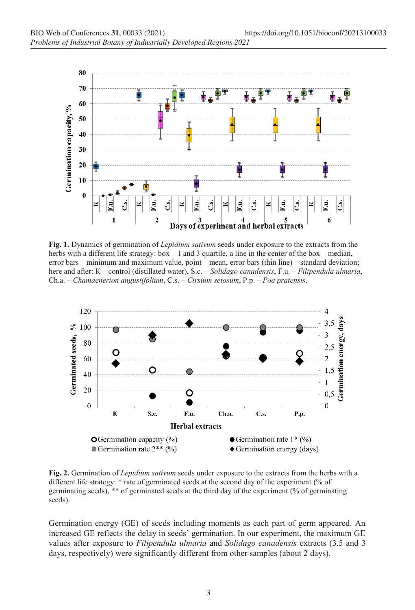

**Fig. 1.** Dynamics of germination of *Lepidium sativum* seeds under exposure to the extracts from the herbs with a different life strategy:  $box - 1$  and 3 quartile, a line in the center of the box – median, error bars – minimum and maximum value, point – mean, error bars (thin line) – standard deviation; here and after: К – control (distillated water), S.c. – *Solidago canadensis*, F.u. – *Filipendula ulmaria*, Ch.a. – *Chamaenerion angustifolium*, C.s. – *Cirsium setosum*, P.p. – *Poa pratensis*.



**Fig. 2.** Germination of *Lepidium sativum* seeds under exposure to the extracts from the herbs with a different life strategy: \* rate of germinated seeds at the second day of the experiment (% of germinating seeds), \*\* of germinated seeds at the third day of the experiment (% of germinating seeds).

Germination energy (GE) of seeds including moments as each part of germ appeared. An increased GE reflects the delay in seeds' germination. In our experiment, the maximum GE values after exposure to *Filipendula ulmaria* and *Solidago canadensis* extracts (3.5 and 3 days, respectively) were significantly different from other samples (about 2 days).